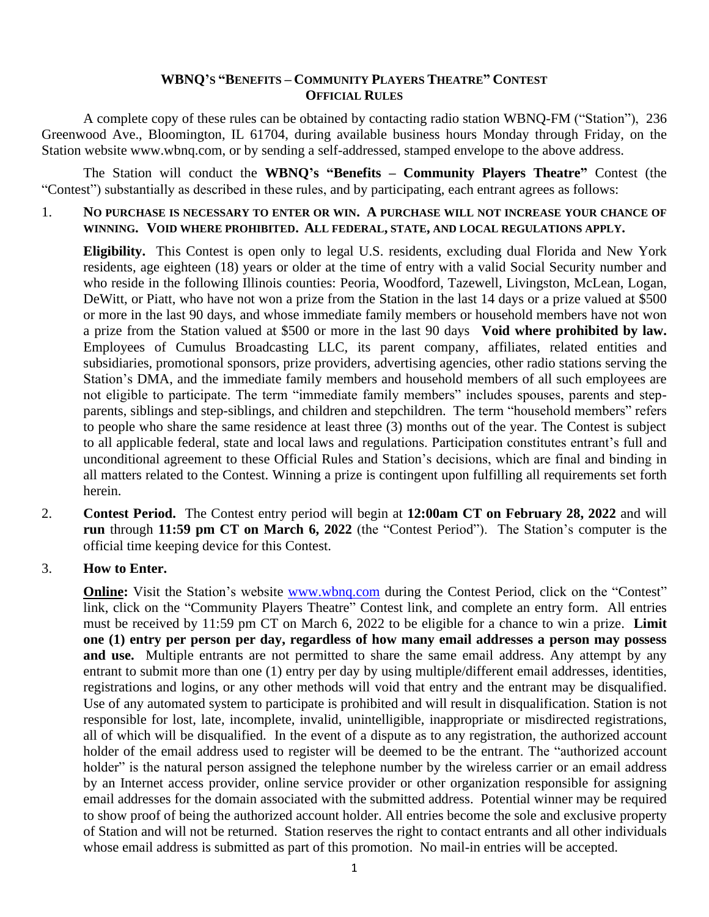### **WBNQ'S "BENEFITS – COMMUNITY PLAYERS THEATRE" CONTEST OFFICIAL RULES**

A complete copy of these rules can be obtained by contacting radio station WBNQ-FM ("Station"), 236 Greenwood Ave., Bloomington, IL 61704, during available business hours Monday through Friday, on the Station website www.wbnq.com, or by sending a self-addressed, stamped envelope to the above address.

The Station will conduct the **WBNQ's "Benefits – Community Players Theatre"** Contest (the "Contest") substantially as described in these rules, and by participating, each entrant agrees as follows:

1. **NO PURCHASE IS NECESSARY TO ENTER OR WIN. A PURCHASE WILL NOT INCREASE YOUR CHANCE OF WINNING. VOID WHERE PROHIBITED. ALL FEDERAL, STATE, AND LOCAL REGULATIONS APPLY.**

**Eligibility.** This Contest is open only to legal U.S. residents, excluding dual Florida and New York residents, age eighteen (18) years or older at the time of entry with a valid Social Security number and who reside in the following Illinois counties: Peoria, Woodford, Tazewell, Livingston, McLean, Logan, DeWitt, or Piatt, who have not won a prize from the Station in the last 14 days or a prize valued at \$500 or more in the last 90 days, and whose immediate family members or household members have not won a prize from the Station valued at \$500 or more in the last 90 days **Void where prohibited by law.** Employees of Cumulus Broadcasting LLC, its parent company, affiliates, related entities and subsidiaries, promotional sponsors, prize providers, advertising agencies, other radio stations serving the Station's DMA, and the immediate family members and household members of all such employees are not eligible to participate. The term "immediate family members" includes spouses, parents and stepparents, siblings and step-siblings, and children and stepchildren. The term "household members" refers to people who share the same residence at least three (3) months out of the year. The Contest is subject to all applicable federal, state and local laws and regulations. Participation constitutes entrant's full and unconditional agreement to these Official Rules and Station's decisions, which are final and binding in all matters related to the Contest. Winning a prize is contingent upon fulfilling all requirements set forth herein.

2. **Contest Period.** The Contest entry period will begin at **12:00am CT on February 28, 2022** and will **run** through **11:59 pm CT on March 6, 2022** (the "Contest Period"). The Station's computer is the official time keeping device for this Contest.

#### 3. **How to Enter.**

**Online:** Visit the Station's website [www.wbnq.com](http://www.wbnq.com/) during the Contest Period, click on the "Contest" link, click on the "Community Players Theatre" Contest link, and complete an entry form. All entries must be received by 11:59 pm CT on March 6, 2022 to be eligible for a chance to win a prize. **Limit one (1) entry per person per day, regardless of how many email addresses a person may possess and use.** Multiple entrants are not permitted to share the same email address. Any attempt by any entrant to submit more than one (1) entry per day by using multiple/different email addresses, identities, registrations and logins, or any other methods will void that entry and the entrant may be disqualified. Use of any automated system to participate is prohibited and will result in disqualification. Station is not responsible for lost, late, incomplete, invalid, unintelligible, inappropriate or misdirected registrations, all of which will be disqualified. In the event of a dispute as to any registration, the authorized account holder of the email address used to register will be deemed to be the entrant. The "authorized account holder" is the natural person assigned the telephone number by the wireless carrier or an email address by an Internet access provider, online service provider or other organization responsible for assigning email addresses for the domain associated with the submitted address. Potential winner may be required to show proof of being the authorized account holder. All entries become the sole and exclusive property of Station and will not be returned. Station reserves the right to contact entrants and all other individuals whose email address is submitted as part of this promotion. No mail-in entries will be accepted.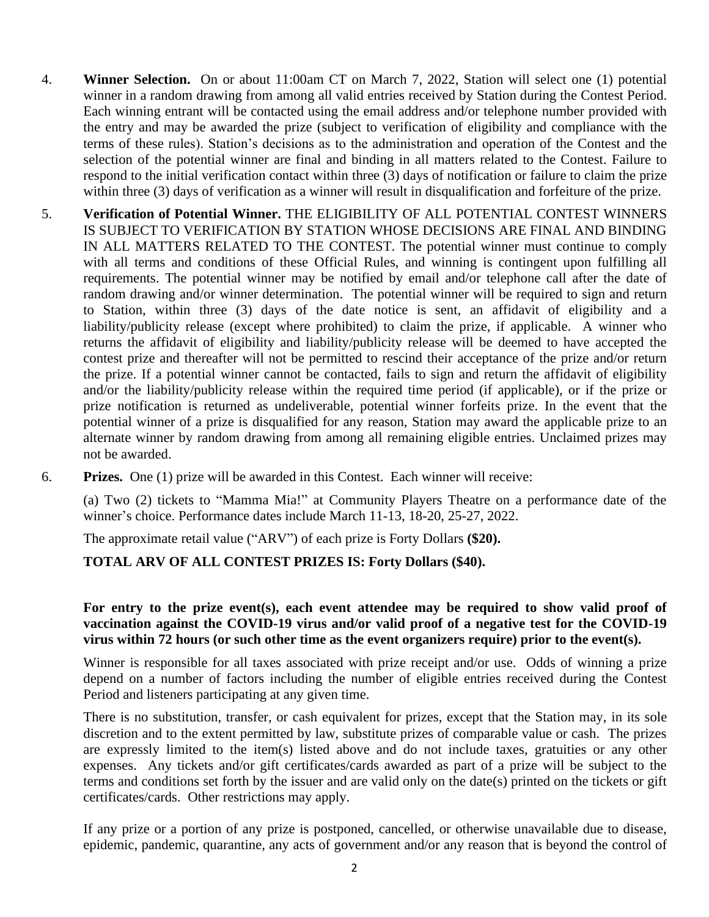- 4. **Winner Selection.** On or about 11:00am CT on March 7, 2022, Station will select one (1) potential winner in a random drawing from among all valid entries received by Station during the Contest Period. Each winning entrant will be contacted using the email address and/or telephone number provided with the entry and may be awarded the prize (subject to verification of eligibility and compliance with the terms of these rules). Station's decisions as to the administration and operation of the Contest and the selection of the potential winner are final and binding in all matters related to the Contest. Failure to respond to the initial verification contact within three (3) days of notification or failure to claim the prize within three (3) days of verification as a winner will result in disqualification and forfeiture of the prize.
- 5. **Verification of Potential Winner.** THE ELIGIBILITY OF ALL POTENTIAL CONTEST WINNERS IS SUBJECT TO VERIFICATION BY STATION WHOSE DECISIONS ARE FINAL AND BINDING IN ALL MATTERS RELATED TO THE CONTEST. The potential winner must continue to comply with all terms and conditions of these Official Rules, and winning is contingent upon fulfilling all requirements. The potential winner may be notified by email and/or telephone call after the date of random drawing and/or winner determination. The potential winner will be required to sign and return to Station, within three (3) days of the date notice is sent, an affidavit of eligibility and a liability/publicity release (except where prohibited) to claim the prize, if applicable. A winner who returns the affidavit of eligibility and liability/publicity release will be deemed to have accepted the contest prize and thereafter will not be permitted to rescind their acceptance of the prize and/or return the prize. If a potential winner cannot be contacted, fails to sign and return the affidavit of eligibility and/or the liability/publicity release within the required time period (if applicable), or if the prize or prize notification is returned as undeliverable, potential winner forfeits prize. In the event that the potential winner of a prize is disqualified for any reason, Station may award the applicable prize to an alternate winner by random drawing from among all remaining eligible entries. Unclaimed prizes may not be awarded.
- 6. **Prizes.** One (1) prize will be awarded in this Contest. Each winner will receive:

(a) Two (2) tickets to "Mamma Mia!" at Community Players Theatre on a performance date of the winner's choice. Performance dates include March 11-13, 18-20, 25-27, 2022.

The approximate retail value ("ARV") of each prize is Forty Dollars **(\$20).** 

#### **TOTAL ARV OF ALL CONTEST PRIZES IS: Forty Dollars (\$40).**

## **For entry to the prize event(s), each event attendee may be required to show valid proof of vaccination against the COVID-19 virus and/or valid proof of a negative test for the COVID-19 virus within 72 hours (or such other time as the event organizers require) prior to the event(s).**

Winner is responsible for all taxes associated with prize receipt and/or use. Odds of winning a prize depend on a number of factors including the number of eligible entries received during the Contest Period and listeners participating at any given time.

There is no substitution, transfer, or cash equivalent for prizes, except that the Station may, in its sole discretion and to the extent permitted by law, substitute prizes of comparable value or cash. The prizes are expressly limited to the item(s) listed above and do not include taxes, gratuities or any other expenses. Any tickets and/or gift certificates/cards awarded as part of a prize will be subject to the terms and conditions set forth by the issuer and are valid only on the date(s) printed on the tickets or gift certificates/cards. Other restrictions may apply.

If any prize or a portion of any prize is postponed, cancelled, or otherwise unavailable due to disease, epidemic, pandemic, quarantine, any acts of government and/or any reason that is beyond the control of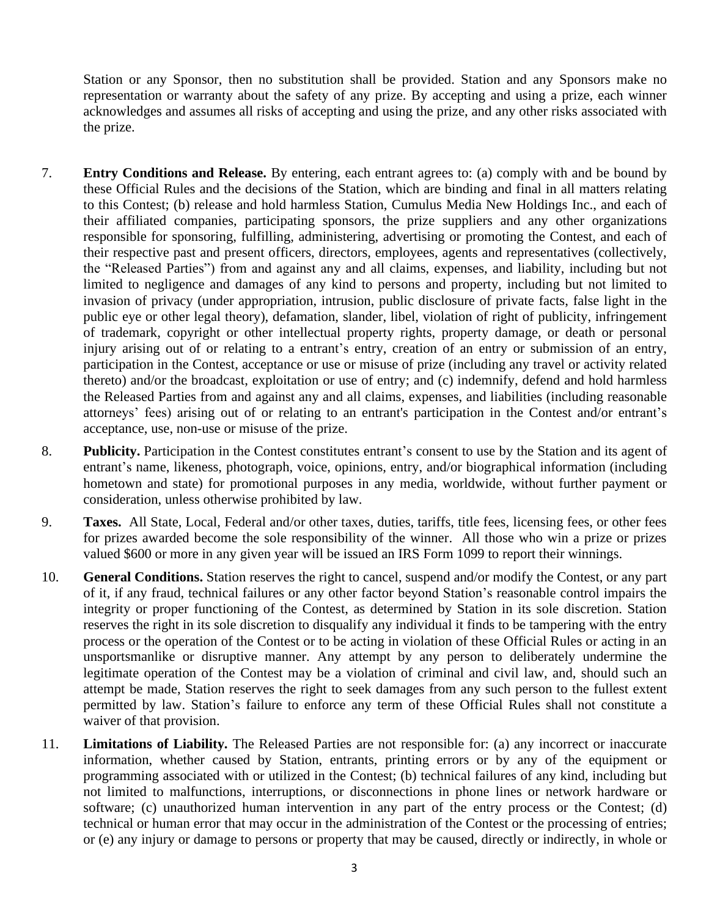Station or any Sponsor, then no substitution shall be provided. Station and any Sponsors make no representation or warranty about the safety of any prize. By accepting and using a prize, each winner acknowledges and assumes all risks of accepting and using the prize, and any other risks associated with the prize.

- 7. **Entry Conditions and Release.** By entering, each entrant agrees to: (a) comply with and be bound by these Official Rules and the decisions of the Station, which are binding and final in all matters relating to this Contest; (b) release and hold harmless Station, Cumulus Media New Holdings Inc., and each of their affiliated companies, participating sponsors, the prize suppliers and any other organizations responsible for sponsoring, fulfilling, administering, advertising or promoting the Contest, and each of their respective past and present officers, directors, employees, agents and representatives (collectively, the "Released Parties") from and against any and all claims, expenses, and liability, including but not limited to negligence and damages of any kind to persons and property, including but not limited to invasion of privacy (under appropriation, intrusion, public disclosure of private facts, false light in the public eye or other legal theory), defamation, slander, libel, violation of right of publicity, infringement of trademark, copyright or other intellectual property rights, property damage, or death or personal injury arising out of or relating to a entrant's entry, creation of an entry or submission of an entry, participation in the Contest, acceptance or use or misuse of prize (including any travel or activity related thereto) and/or the broadcast, exploitation or use of entry; and (c) indemnify, defend and hold harmless the Released Parties from and against any and all claims, expenses, and liabilities (including reasonable attorneys' fees) arising out of or relating to an entrant's participation in the Contest and/or entrant's acceptance, use, non-use or misuse of the prize.
- 8. **Publicity.** Participation in the Contest constitutes entrant's consent to use by the Station and its agent of entrant's name, likeness, photograph, voice, opinions, entry, and/or biographical information (including hometown and state) for promotional purposes in any media, worldwide, without further payment or consideration, unless otherwise prohibited by law.
- 9. **Taxes.** All State, Local, Federal and/or other taxes, duties, tariffs, title fees, licensing fees, or other fees for prizes awarded become the sole responsibility of the winner. All those who win a prize or prizes valued \$600 or more in any given year will be issued an IRS Form 1099 to report their winnings.
- 10. **General Conditions.** Station reserves the right to cancel, suspend and/or modify the Contest, or any part of it, if any fraud, technical failures or any other factor beyond Station's reasonable control impairs the integrity or proper functioning of the Contest, as determined by Station in its sole discretion. Station reserves the right in its sole discretion to disqualify any individual it finds to be tampering with the entry process or the operation of the Contest or to be acting in violation of these Official Rules or acting in an unsportsmanlike or disruptive manner. Any attempt by any person to deliberately undermine the legitimate operation of the Contest may be a violation of criminal and civil law, and, should such an attempt be made, Station reserves the right to seek damages from any such person to the fullest extent permitted by law. Station's failure to enforce any term of these Official Rules shall not constitute a waiver of that provision.
- 11. **Limitations of Liability.** The Released Parties are not responsible for: (a) any incorrect or inaccurate information, whether caused by Station, entrants, printing errors or by any of the equipment or programming associated with or utilized in the Contest; (b) technical failures of any kind, including but not limited to malfunctions, interruptions, or disconnections in phone lines or network hardware or software; (c) unauthorized human intervention in any part of the entry process or the Contest; (d) technical or human error that may occur in the administration of the Contest or the processing of entries; or (e) any injury or damage to persons or property that may be caused, directly or indirectly, in whole or